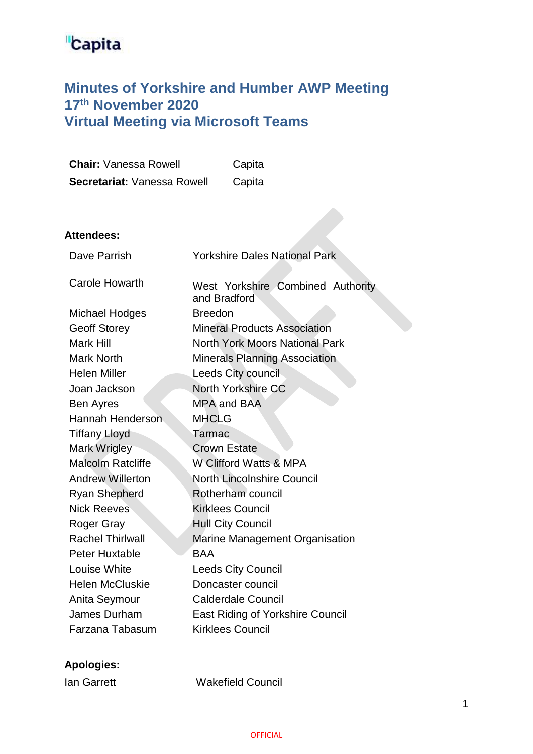# **Capita**

## **Minutes of Yorkshire and Humber AWP Meeting 17th November 2020 Virtual Meeting via Microsoft Teams**

| <b>Chair: Vanessa Rowell</b> | Capita                                            |
|------------------------------|---------------------------------------------------|
| Secretariat: Vanessa Rowell  | Capita                                            |
|                              |                                                   |
|                              |                                                   |
| <b>Attendees:</b>            |                                                   |
| Dave Parrish                 | <b>Yorkshire Dales National Park</b>              |
|                              |                                                   |
| <b>Carole Howarth</b>        | West Yorkshire Combined Authority<br>and Bradford |
| <b>Michael Hodges</b>        | <b>Breedon</b>                                    |
| <b>Geoff Storey</b>          | <b>Mineral Products Association</b>               |
| <b>Mark Hill</b>             | <b>North York Moors National Park</b>             |
| Mark North                   | <b>Minerals Planning Association</b>              |
| <b>Helen Miller</b>          | Leeds City council                                |
| Joan Jackson                 | <b>North Yorkshire CC</b>                         |
| Ben Ayres                    | <b>MPA and BAA</b>                                |
| <b>Hannah Henderson</b>      | <b>MHCLG</b>                                      |
| <b>Tiffany Lloyd</b>         | Tarmac                                            |
| Mark Wrigley                 | <b>Crown Estate</b>                               |
| <b>Malcolm Ratcliffe</b>     | W Clifford Watts & MPA                            |
| <b>Andrew Willerton</b>      | <b>North Lincolnshire Council</b>                 |
| Ryan Shepherd                | Rotherham council                                 |
| <b>Nick Reeves</b>           | <b>Kirklees Council</b>                           |
| Roger Gray                   | <b>Hull City Council</b>                          |
| <b>Rachel Thirlwall</b>      | Marine Management Organisation                    |
| <b>Peter Huxtable</b>        | <b>BAA</b>                                        |
| <b>Louise White</b>          | <b>Leeds City Council</b>                         |
| <b>Helen McCluskie</b>       | Doncaster council                                 |
| Anita Seymour                | <b>Calderdale Council</b>                         |
| <b>James Durham</b>          | <b>East Riding of Yorkshire Council</b>           |
| Farzana Tabasum              | <b>Kirklees Council</b>                           |

### **Apologies:**

Ian Garrett Wakefield Council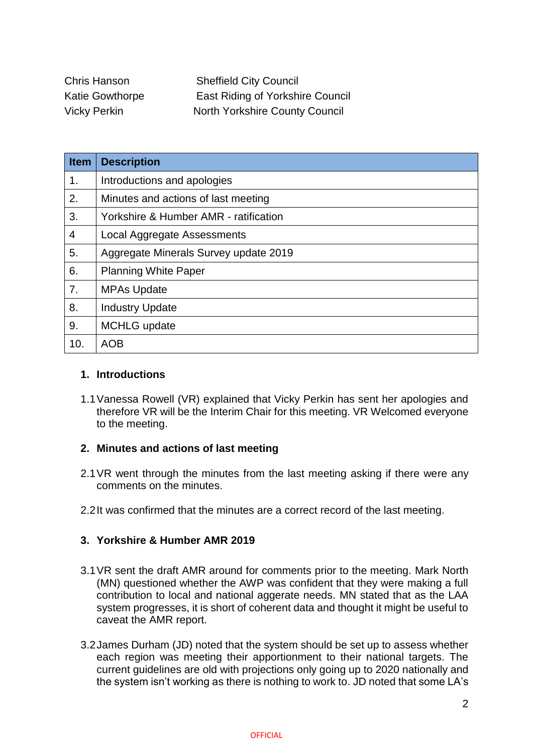Chris Hanson Sheffield City Council Katie Gowthorpe East Riding of Yorkshire Council Vicky Perkin North Yorkshire County Council

| <b>Item</b>    | <b>Description</b>                    |
|----------------|---------------------------------------|
| 1 <sub>1</sub> | Introductions and apologies           |
| 2.             | Minutes and actions of last meeting   |
| 3.             | Yorkshire & Humber AMR - ratification |
| 4              | Local Aggregate Assessments           |
| 5.             | Aggregate Minerals Survey update 2019 |
| 6.             | <b>Planning White Paper</b>           |
| 7.             | <b>MPAs Update</b>                    |
| 8.             | <b>Industry Update</b>                |
| 9.             | <b>MCHLG</b> update                   |
| 10.            | <b>AOB</b>                            |

#### **1. Introductions**

1.1Vanessa Rowell (VR) explained that Vicky Perkin has sent her apologies and therefore VR will be the Interim Chair for this meeting. VR Welcomed everyone to the meeting.

#### **2. Minutes and actions of last meeting**

- 2.1VR went through the minutes from the last meeting asking if there were any comments on the minutes.
- 2.2It was confirmed that the minutes are a correct record of the last meeting.

#### **3. Yorkshire & Humber AMR 2019**

- 3.1VR sent the draft AMR around for comments prior to the meeting. Mark North (MN) questioned whether the AWP was confident that they were making a full contribution to local and national aggerate needs. MN stated that as the LAA system progresses, it is short of coherent data and thought it might be useful to caveat the AMR report.
- 3.2James Durham (JD) noted that the system should be set up to assess whether each region was meeting their apportionment to their national targets. The current guidelines are old with projections only going up to 2020 nationally and the system isn't working as there is nothing to work to. JD noted that some LA's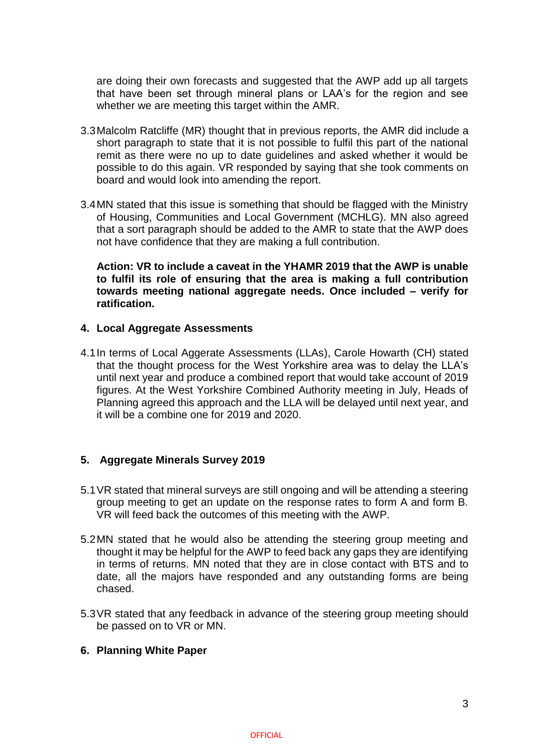are doing their own forecasts and suggested that the AWP add up all targets that have been set through mineral plans or LAA's for the region and see whether we are meeting this target within the AMR.

- 3.3Malcolm Ratcliffe (MR) thought that in previous reports, the AMR did include a short paragraph to state that it is not possible to fulfil this part of the national remit as there were no up to date guidelines and asked whether it would be possible to do this again. VR responded by saying that she took comments on board and would look into amending the report.
- 3.4MN stated that this issue is something that should be flagged with the Ministry of Housing, Communities and Local Government (MCHLG). MN also agreed that a sort paragraph should be added to the AMR to state that the AWP does not have confidence that they are making a full contribution.

**Action: VR to include a caveat in the YHAMR 2019 that the AWP is unable to fulfil its role of ensuring that the area is making a full contribution towards meeting national aggregate needs. Once included – verify for ratification.**

#### **4. Local Aggregate Assessments**

4.1In terms of Local Aggerate Assessments (LLAs), Carole Howarth (CH) stated that the thought process for the West Yorkshire area was to delay the LLA's until next year and produce a combined report that would take account of 2019 figures. At the West Yorkshire Combined Authority meeting in July, Heads of Planning agreed this approach and the LLA will be delayed until next year, and it will be a combine one for 2019 and 2020.

#### **5. Aggregate Minerals Survey 2019**

- 5.1VR stated that mineral surveys are still ongoing and will be attending a steering group meeting to get an update on the response rates to form A and form B. VR will feed back the outcomes of this meeting with the AWP.
- 5.2MN stated that he would also be attending the steering group meeting and thought it may be helpful for the AWP to feed back any gaps they are identifying in terms of returns. MN noted that they are in close contact with BTS and to date, all the majors have responded and any outstanding forms are being chased.
- 5.3VR stated that any feedback in advance of the steering group meeting should be passed on to VR or MN.

#### **6. Planning White Paper**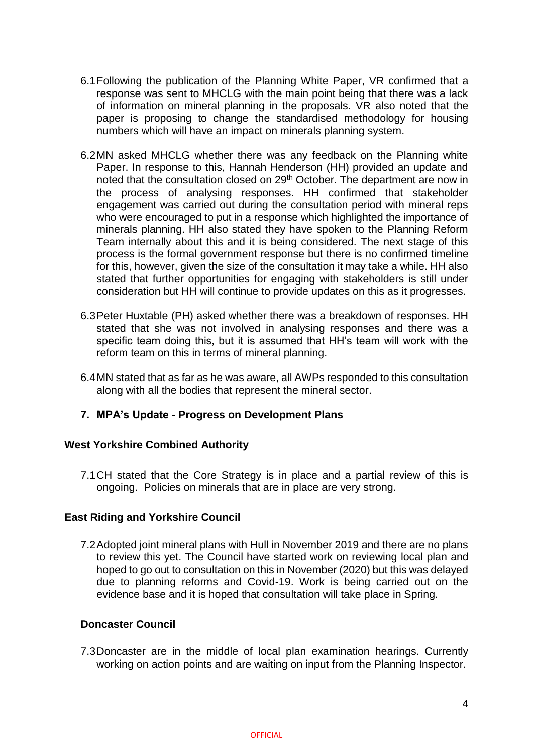- 6.1Following the publication of the Planning White Paper, VR confirmed that a response was sent to MHCLG with the main point being that there was a lack of information on mineral planning in the proposals. VR also noted that the paper is proposing to change the standardised methodology for housing numbers which will have an impact on minerals planning system.
- 6.2MN asked MHCLG whether there was any feedback on the Planning white Paper. In response to this, Hannah Henderson (HH) provided an update and noted that the consultation closed on 29<sup>th</sup> October. The department are now in the process of analysing responses. HH confirmed that stakeholder engagement was carried out during the consultation period with mineral reps who were encouraged to put in a response which highlighted the importance of minerals planning. HH also stated they have spoken to the Planning Reform Team internally about this and it is being considered. The next stage of this process is the formal government response but there is no confirmed timeline for this, however, given the size of the consultation it may take a while. HH also stated that further opportunities for engaging with stakeholders is still under consideration but HH will continue to provide updates on this as it progresses.
- 6.3Peter Huxtable (PH) asked whether there was a breakdown of responses. HH stated that she was not involved in analysing responses and there was a specific team doing this, but it is assumed that HH's team will work with the reform team on this in terms of mineral planning.
- 6.4MN stated that as far as he was aware, all AWPs responded to this consultation along with all the bodies that represent the mineral sector.
- **7. MPA's Update - Progress on Development Plans**

#### **West Yorkshire Combined Authority**

7.1CH stated that the Core Strategy is in place and a partial review of this is ongoing. Policies on minerals that are in place are very strong.

#### **East Riding and Yorkshire Council**

7.2Adopted joint mineral plans with Hull in November 2019 and there are no plans to review this yet. The Council have started work on reviewing local plan and hoped to go out to consultation on this in November (2020) but this was delayed due to planning reforms and Covid-19. Work is being carried out on the evidence base and it is hoped that consultation will take place in Spring.

#### **Doncaster Council**

7.3Doncaster are in the middle of local plan examination hearings. Currently working on action points and are waiting on input from the Planning Inspector.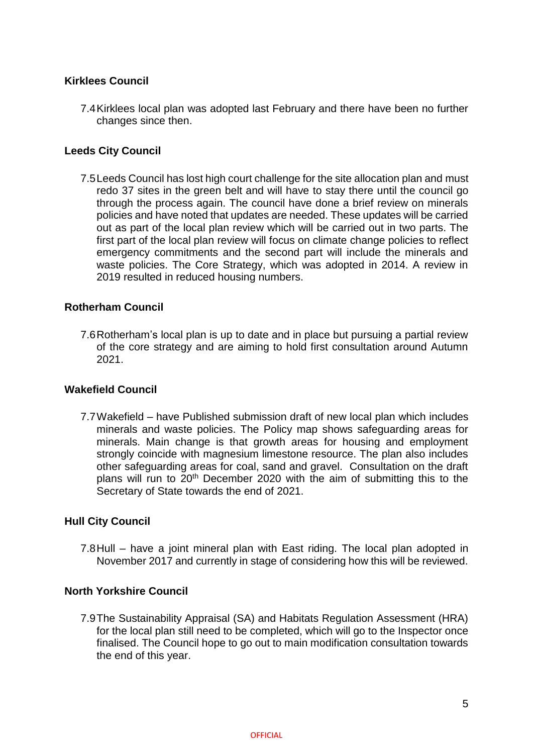#### **Kirklees Council**

7.4Kirklees local plan was adopted last February and there have been no further changes since then.

#### **Leeds City Council**

7.5Leeds Council has lost high court challenge for the site allocation plan and must redo 37 sites in the green belt and will have to stay there until the council go through the process again. The council have done a brief review on minerals policies and have noted that updates are needed. These updates will be carried out as part of the local plan review which will be carried out in two parts. The first part of the local plan review will focus on climate change policies to reflect emergency commitments and the second part will include the minerals and waste policies. The Core Strategy, which was adopted in 2014. A review in 2019 resulted in reduced housing numbers.

#### **Rotherham Council**

7.6Rotherham's local plan is up to date and in place but pursuing a partial review of the core strategy and are aiming to hold first consultation around Autumn 2021.

#### **Wakefield Council**

7.7Wakefield – have Published submission draft of new local plan which includes minerals and waste policies. The Policy map shows safeguarding areas for minerals. Main change is that growth areas for housing and employment strongly coincide with magnesium limestone resource. The plan also includes other safeguarding areas for coal, sand and gravel. Consultation on the draft plans will run to 20<sup>th</sup> December 2020 with the aim of submitting this to the Secretary of State towards the end of 2021.

#### **Hull City Council**

7.8Hull – have a joint mineral plan with East riding. The local plan adopted in November 2017 and currently in stage of considering how this will be reviewed.

#### **North Yorkshire Council**

7.9The Sustainability Appraisal (SA) and Habitats Regulation Assessment (HRA) for the local plan still need to be completed, which will go to the Inspector once finalised. The Council hope to go out to main modification consultation towards the end of this year.

**OFFICIAL**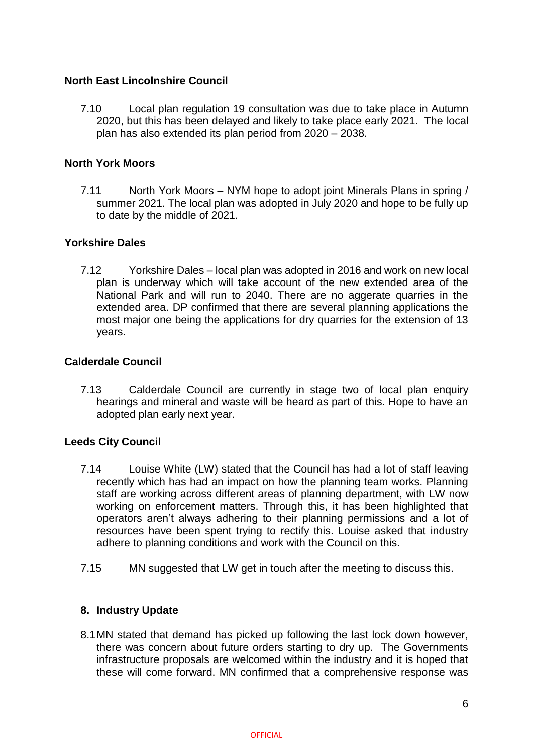#### **North East Lincolnshire Council**

7.10 Local plan regulation 19 consultation was due to take place in Autumn 2020, but this has been delayed and likely to take place early 2021. The local plan has also extended its plan period from 2020 – 2038.

#### **North York Moors**

7.11 North York Moors – NYM hope to adopt joint Minerals Plans in spring / summer 2021. The local plan was adopted in July 2020 and hope to be fully up to date by the middle of 2021.

#### **Yorkshire Dales**

7.12 Yorkshire Dales – local plan was adopted in 2016 and work on new local plan is underway which will take account of the new extended area of the National Park and will run to 2040. There are no aggerate quarries in the extended area. DP confirmed that there are several planning applications the most major one being the applications for dry quarries for the extension of 13 years.

#### **Calderdale Council**

7.13 Calderdale Council are currently in stage two of local plan enquiry hearings and mineral and waste will be heard as part of this. Hope to have an adopted plan early next year.

#### **Leeds City Council**

- 7.14 Louise White (LW) stated that the Council has had a lot of staff leaving recently which has had an impact on how the planning team works. Planning staff are working across different areas of planning department, with LW now working on enforcement matters. Through this, it has been highlighted that operators aren't always adhering to their planning permissions and a lot of resources have been spent trying to rectify this. Louise asked that industry adhere to planning conditions and work with the Council on this.
- 7.15 MN suggested that LW get in touch after the meeting to discuss this.

#### **8. Industry Update**

8.1MN stated that demand has picked up following the last lock down however, there was concern about future orders starting to dry up. The Governments infrastructure proposals are welcomed within the industry and it is hoped that these will come forward. MN confirmed that a comprehensive response was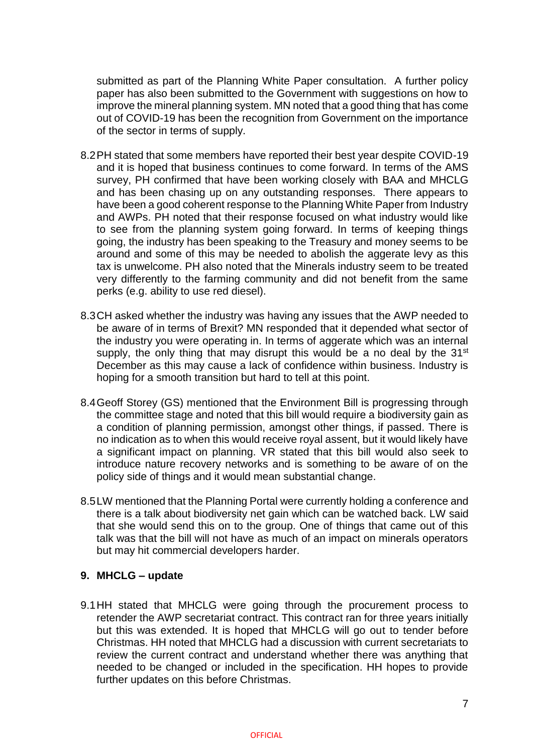submitted as part of the Planning White Paper consultation. A further policy paper has also been submitted to the Government with suggestions on how to improve the mineral planning system. MN noted that a good thing that has come out of COVID-19 has been the recognition from Government on the importance of the sector in terms of supply.

- 8.2PH stated that some members have reported their best year despite COVID-19 and it is hoped that business continues to come forward. In terms of the AMS survey, PH confirmed that have been working closely with BAA and MHCLG and has been chasing up on any outstanding responses. There appears to have been a good coherent response to the Planning White Paper from Industry and AWPs. PH noted that their response focused on what industry would like to see from the planning system going forward. In terms of keeping things going, the industry has been speaking to the Treasury and money seems to be around and some of this may be needed to abolish the aggerate levy as this tax is unwelcome. PH also noted that the Minerals industry seem to be treated very differently to the farming community and did not benefit from the same perks (e.g. ability to use red diesel).
- 8.3CH asked whether the industry was having any issues that the AWP needed to be aware of in terms of Brexit? MN responded that it depended what sector of the industry you were operating in. In terms of aggerate which was an internal supply, the only thing that may disrupt this would be a no deal by the  $31<sup>st</sup>$ December as this may cause a lack of confidence within business. Industry is hoping for a smooth transition but hard to tell at this point.
- 8.4Geoff Storey (GS) mentioned that the Environment Bill is progressing through the committee stage and noted that this bill would require a biodiversity gain as a condition of planning permission, amongst other things, if passed. There is no indication as to when this would receive royal assent, but it would likely have a significant impact on planning. VR stated that this bill would also seek to introduce nature recovery networks and is something to be aware of on the policy side of things and it would mean substantial change.
- 8.5LW mentioned that the Planning Portal were currently holding a conference and there is a talk about biodiversity net gain which can be watched back. LW said that she would send this on to the group. One of things that came out of this talk was that the bill will not have as much of an impact on minerals operators but may hit commercial developers harder.

#### **9. MHCLG – update**

9.1HH stated that MHCLG were going through the procurement process to retender the AWP secretariat contract. This contract ran for three years initially but this was extended. It is hoped that MHCLG will go out to tender before Christmas. HH noted that MHCLG had a discussion with current secretariats to review the current contract and understand whether there was anything that needed to be changed or included in the specification. HH hopes to provide further updates on this before Christmas.